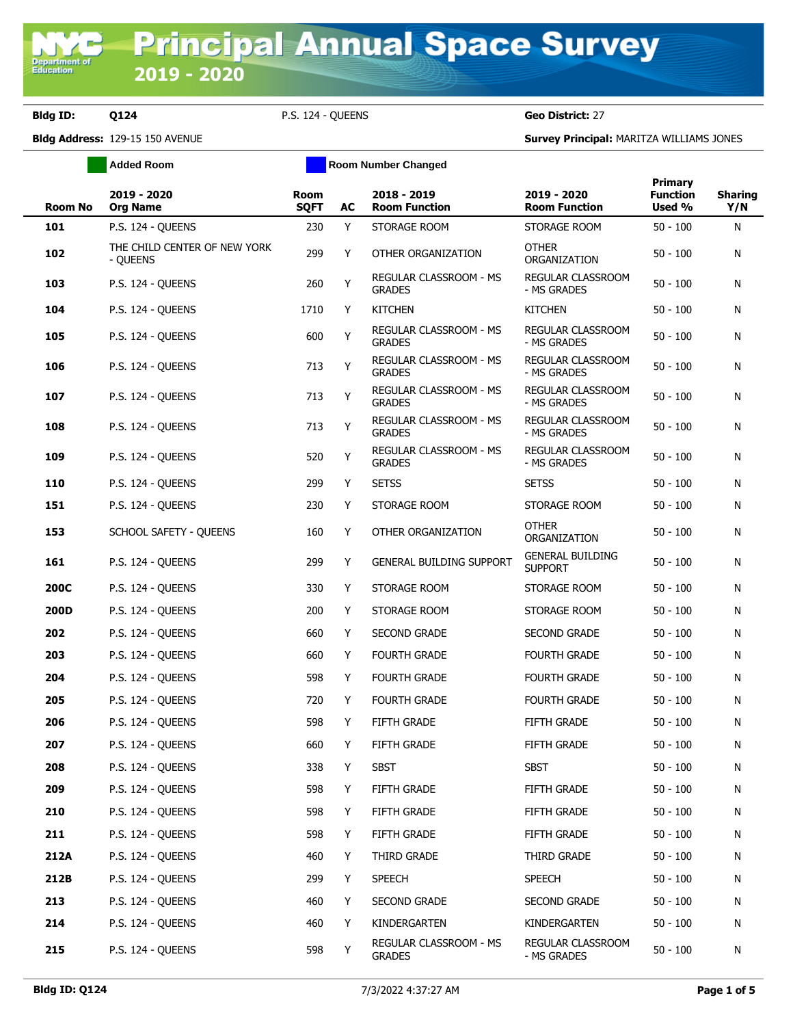## **Bldg ID: Q124** P.S. 124 - QUEENS **Geo District:** 27

Department of<br>Education

**Bldg Address:** 129-15 150 AVENUE **Survey Principal:** MARITZA WILLIAMS JONES

|                | <b>Added Room</b>                        |                            |    | <b>Room Number Changed</b>                     |                                           |                                      |                       |
|----------------|------------------------------------------|----------------------------|----|------------------------------------------------|-------------------------------------------|--------------------------------------|-----------------------|
| <b>Room No</b> | 2019 - 2020<br><b>Org Name</b>           | <b>Room</b><br><b>SQFT</b> | AC | 2018 - 2019<br><b>Room Function</b>            | 2019 - 2020<br><b>Room Function</b>       | Primary<br><b>Function</b><br>Used % | <b>Sharing</b><br>Y/N |
| 101            | P.S. 124 - QUEENS                        | 230                        | Y  | STORAGE ROOM                                   | STORAGE ROOM                              | $50 - 100$                           | N                     |
| 102            | THE CHILD CENTER OF NEW YORK<br>- QUEENS | 299                        | Y  | OTHER ORGANIZATION                             | <b>OTHER</b><br>ORGANIZATION              | $50 - 100$                           | N                     |
| 103            | P.S. 124 - OUEENS                        | 260                        | Y  | REGULAR CLASSROOM - MS<br><b>GRADES</b>        | REGULAR CLASSROOM<br>- MS GRADES          | $50 - 100$                           | N                     |
| 104            | P.S. 124 - QUEENS                        | 1710                       | Y  | <b>KITCHEN</b>                                 | <b>KITCHEN</b>                            | $50 - 100$                           | N                     |
| 105            | P.S. 124 - QUEENS                        | 600                        | Y  | REGULAR CLASSROOM - MS<br><b>GRADES</b>        | REGULAR CLASSROOM<br>- MS GRADES          | $50 - 100$                           | N                     |
| 106            | P.S. 124 - QUEENS                        | 713                        | Y  | REGULAR CLASSROOM - MS<br><b>GRADES</b>        | REGULAR CLASSROOM<br>- MS GRADES          | $50 - 100$                           | N                     |
| 107            | P.S. 124 - QUEENS                        | 713                        | Y  | REGULAR CLASSROOM - MS<br><b>GRADES</b>        | REGULAR CLASSROOM<br>- MS GRADES          | $50 - 100$                           | N                     |
| 108            | P.S. 124 - QUEENS                        | 713                        | Y  | <b>REGULAR CLASSROOM - MS</b><br><b>GRADES</b> | REGULAR CLASSROOM<br>- MS GRADES          | $50 - 100$                           | N                     |
| 109            | P.S. 124 - QUEENS                        | 520                        | Y  | REGULAR CLASSROOM - MS<br><b>GRADES</b>        | REGULAR CLASSROOM<br>- MS GRADES          | $50 - 100$                           | N                     |
| 110            | P.S. 124 - QUEENS                        | 299                        | Y  | <b>SETSS</b>                                   | <b>SETSS</b>                              | $50 - 100$                           | N                     |
| 151            | P.S. 124 - QUEENS                        | 230                        | Y  | STORAGE ROOM                                   | STORAGE ROOM                              | $50 - 100$                           | N                     |
| 153            | SCHOOL SAFETY - QUEENS                   | 160                        | Y  | OTHER ORGANIZATION                             | <b>OTHER</b><br>ORGANIZATION              | $50 - 100$                           | N                     |
| 161            | P.S. 124 - QUEENS                        | 299                        | Y  | <b>GENERAL BUILDING SUPPORT</b>                | <b>GENERAL BUILDING</b><br><b>SUPPORT</b> | $50 - 100$                           | N                     |
| <b>200C</b>    | P.S. 124 - QUEENS                        | 330                        | Y  | STORAGE ROOM                                   | STORAGE ROOM                              | $50 - 100$                           | N                     |
| 200D           | P.S. 124 - QUEENS                        | 200                        | Y  | STORAGE ROOM                                   | STORAGE ROOM                              | $50 - 100$                           | N                     |
| 202            | P.S. 124 - QUEENS                        | 660                        | Y  | <b>SECOND GRADE</b>                            | <b>SECOND GRADE</b>                       | $50 - 100$                           | N                     |
| 203            | P.S. 124 - QUEENS                        | 660                        | Y  | <b>FOURTH GRADE</b>                            | <b>FOURTH GRADE</b>                       | $50 - 100$                           | N                     |
| 204            | P.S. 124 - QUEENS                        | 598                        | Y  | <b>FOURTH GRADE</b>                            | <b>FOURTH GRADE</b>                       | $50 - 100$                           | N                     |
| 205            | P.S. 124 - QUEENS                        | 720                        | Y  | <b>FOURTH GRADE</b>                            | <b>FOURTH GRADE</b>                       | $50 - 100$                           | N                     |
| 206            | P.S. 124 - QUEENS                        | 598                        | Y  | <b>FIFTH GRADE</b>                             | FIFTH GRADE                               | $50 - 100$                           | N                     |
| 207            | P.S. 124 - QUEENS                        | 660                        | Y  | FIFTH GRADE                                    | FIFTH GRADE                               | $50 - 100$                           | N                     |
| 208            | P.S. 124 - QUEENS                        | 338                        | Y  | <b>SBST</b>                                    | <b>SBST</b>                               | $50 - 100$                           | Ν                     |
| 209            | P.S. 124 - QUEENS                        | 598                        | Y  | FIFTH GRADE                                    | FIFTH GRADE                               | $50 - 100$                           | N                     |
| 210            | P.S. 124 - QUEENS                        | 598                        | Y  | FIFTH GRADE                                    | FIFTH GRADE                               | $50 - 100$                           | N                     |
| 211            | P.S. 124 - OUEENS                        | 598                        | Y  | FIFTH GRADE                                    | FIFTH GRADE                               | $50 - 100$                           | N                     |
| 212A           | P.S. 124 - QUEENS                        | 460                        | Y  | THIRD GRADE                                    | THIRD GRADE                               | $50 - 100$                           | N                     |
| 212B           | P.S. 124 - QUEENS                        | 299                        | Y  | <b>SPEECH</b>                                  | <b>SPEECH</b>                             | $50 - 100$                           | N                     |
| 213            | P.S. 124 - QUEENS                        | 460                        | Y  | <b>SECOND GRADE</b>                            | <b>SECOND GRADE</b>                       | $50 - 100$                           | N                     |
| 214            | P.S. 124 - QUEENS                        | 460                        | Y  | KINDERGARTEN                                   | KINDERGARTEN                              | $50 - 100$                           | N                     |
| 215            | P.S. 124 - QUEENS                        | 598                        | Y  | REGULAR CLASSROOM - MS<br><b>GRADES</b>        | REGULAR CLASSROOM<br>- MS GRADES          | $50 - 100$                           | N                     |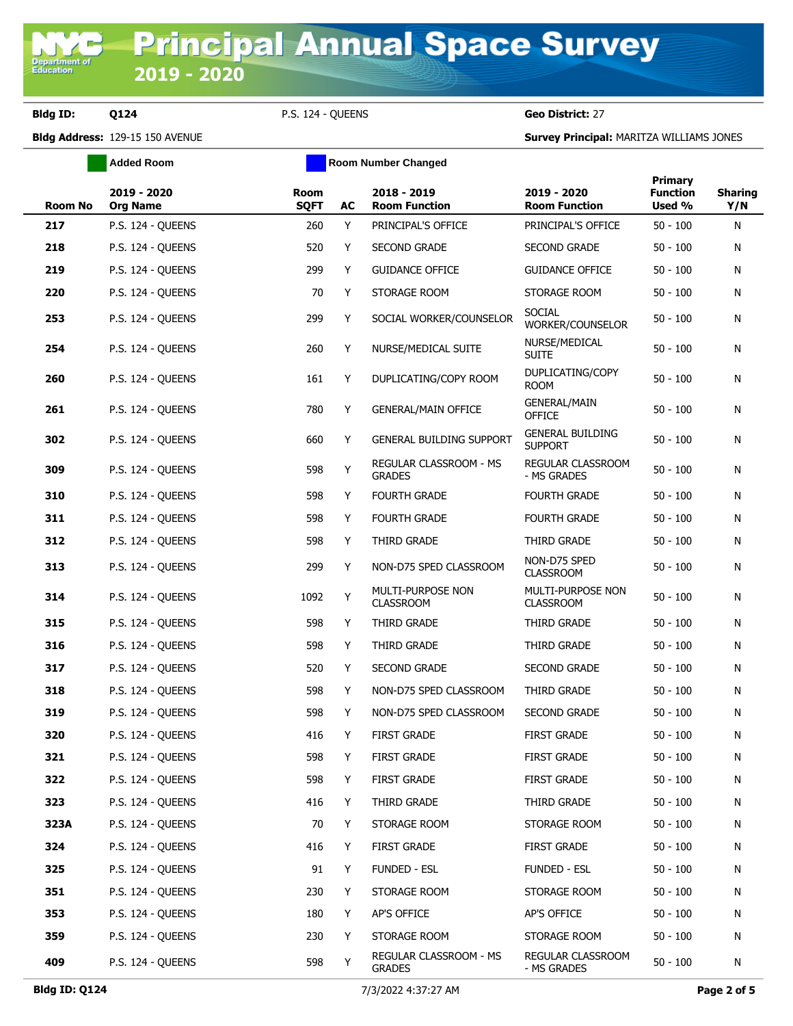**Bldg ID: Q124** P.S. 124 - QUEENS **Geo District:** 27

**Bldg Address:** 129-15 150 AVENUE **Survey Principal:** MARITZA WILLIAMS JONES

|         | <b>Added Room</b>              |                            |    | <b>Room Number Changed</b>              |                                           |                                             |                       |
|---------|--------------------------------|----------------------------|----|-----------------------------------------|-------------------------------------------|---------------------------------------------|-----------------------|
| Room No | 2019 - 2020<br><b>Org Name</b> | <b>Room</b><br><b>SQFT</b> | AC | 2018 - 2019<br><b>Room Function</b>     | 2019 - 2020<br><b>Room Function</b>       | <b>Primary</b><br><b>Function</b><br>Used % | <b>Sharing</b><br>Y/N |
| 217     | P.S. 124 - OUEENS              | 260                        | Y  | PRINCIPAL'S OFFICE                      | PRINCIPAL'S OFFICE                        | $50 - 100$                                  | N                     |
| 218     | P.S. 124 - QUEENS              | 520                        | Y  | <b>SECOND GRADE</b>                     | <b>SECOND GRADE</b>                       | $50 - 100$                                  | N                     |
| 219     | P.S. 124 - QUEENS              | 299                        | Y  | <b>GUIDANCE OFFICE</b>                  | <b>GUIDANCE OFFICE</b>                    | $50 - 100$                                  | N                     |
| 220     | P.S. 124 - QUEENS              | 70                         | Y  | STORAGE ROOM                            | STORAGE ROOM                              | $50 - 100$                                  | Ν                     |
| 253     | P.S. 124 - QUEENS              | 299                        | Y  | SOCIAL WORKER/COUNSELOR                 | <b>SOCIAL</b><br>WORKER/COUNSELOR         | $50 - 100$                                  | Ν                     |
| 254     | P.S. 124 - QUEENS              | 260                        | Y  | NURSE/MEDICAL SUITE                     | NURSE/MEDICAL<br><b>SUITE</b>             | $50 - 100$                                  | N                     |
| 260     | P.S. 124 - QUEENS              | 161                        | Y  | DUPLICATING/COPY ROOM                   | DUPLICATING/COPY<br><b>ROOM</b>           | $50 - 100$                                  | Ν                     |
| 261     | P.S. 124 - QUEENS              | 780                        | Y  | <b>GENERAL/MAIN OFFICE</b>              | <b>GENERAL/MAIN</b><br><b>OFFICE</b>      | $50 - 100$                                  | N                     |
| 302     | P.S. 124 - QUEENS              | 660                        | Y  | <b>GENERAL BUILDING SUPPORT</b>         | <b>GENERAL BUILDING</b><br><b>SUPPORT</b> | $50 - 100$                                  | Ν                     |
| 309     | P.S. 124 - QUEENS              | 598                        | Y  | REGULAR CLASSROOM - MS<br><b>GRADES</b> | REGULAR CLASSROOM<br>- MS GRADES          | $50 - 100$                                  | N                     |
| 310     | P.S. 124 - QUEENS              | 598                        | Y  | <b>FOURTH GRADE</b>                     | <b>FOURTH GRADE</b>                       | $50 - 100$                                  | N                     |
| 311     | P.S. 124 - QUEENS              | 598                        | Y  | <b>FOURTH GRADE</b>                     | <b>FOURTH GRADE</b>                       | $50 - 100$                                  | N                     |
| 312     | P.S. 124 - QUEENS              | 598                        | Y  | THIRD GRADE                             | THIRD GRADE                               | $50 - 100$                                  | Ν                     |
| 313     | P.S. 124 - QUEENS              | 299                        | Y  | NON-D75 SPED CLASSROOM                  | NON-D75 SPED<br><b>CLASSROOM</b>          | $50 - 100$                                  | Ν                     |
| 314     | P.S. 124 - QUEENS              | 1092                       | Y  | MULTI-PURPOSE NON<br><b>CLASSROOM</b>   | MULTI-PURPOSE NON<br><b>CLASSROOM</b>     | $50 - 100$                                  | N                     |
| 315     | P.S. 124 - QUEENS              | 598                        | Y  | THIRD GRADE                             | THIRD GRADE                               | $50 - 100$                                  | N                     |
| 316     | P.S. 124 - QUEENS              | 598                        | Y  | THIRD GRADE                             | THIRD GRADE                               | $50 - 100$                                  | N                     |
| 317     | P.S. 124 - QUEENS              | 520                        | Y  | <b>SECOND GRADE</b>                     | SECOND GRADE                              | $50 - 100$                                  | N                     |
| 318     | P.S. 124 - QUEENS              | 598                        | Y  | NON-D75 SPED CLASSROOM                  | THIRD GRADE                               | $50 - 100$                                  | N                     |
| 319     | P.S. 124 - QUEENS              | 598                        | Y  | NON-D75 SPED CLASSROOM                  | <b>SECOND GRADE</b>                       | $50 - 100$                                  | N                     |
| 320     | P.S. 124 - QUEENS              | 416                        | Y  | <b>FIRST GRADE</b>                      | <b>FIRST GRADE</b>                        | $50 - 100$                                  | N                     |
| 321     | P.S. 124 - QUEENS              | 598                        | Y  | <b>FIRST GRADE</b>                      | <b>FIRST GRADE</b>                        | $50 - 100$                                  | N                     |
| 322     | P.S. 124 - QUEENS              | 598                        | Y  | <b>FIRST GRADE</b>                      | <b>FIRST GRADE</b>                        | $50 - 100$                                  | N                     |
| 323     | P.S. 124 - QUEENS              | 416                        | Y  | THIRD GRADE                             | THIRD GRADE                               | $50 - 100$                                  | N                     |
| 323A    | P.S. 124 - QUEENS              | 70                         | Y  | STORAGE ROOM                            | STORAGE ROOM                              | $50 - 100$                                  | N                     |
| 324     | P.S. 124 - QUEENS              | 416                        | Y  | <b>FIRST GRADE</b>                      | <b>FIRST GRADE</b>                        | $50 - 100$                                  | N                     |
| 325     | P.S. 124 - QUEENS              | 91                         | Y  | <b>FUNDED - ESL</b>                     | <b>FUNDED - ESL</b>                       | $50 - 100$                                  | N                     |
| 351     | P.S. 124 - QUEENS              | 230                        | Y  | STORAGE ROOM                            | STORAGE ROOM                              | $50 - 100$                                  | N                     |
| 353     | P.S. 124 - QUEENS              | 180                        | Y  | AP'S OFFICE                             | AP'S OFFICE                               | $50 - 100$                                  | N                     |
| 359     | P.S. 124 - QUEENS              | 230                        | Y  | STORAGE ROOM                            | STORAGE ROOM                              | $50 - 100$                                  | N                     |
| 409     | P.S. 124 - QUEENS              | 598                        | Y  | REGULAR CLASSROOM - MS<br><b>GRADES</b> | REGULAR CLASSROOM<br>- MS GRADES          | $50 - 100$                                  | N                     |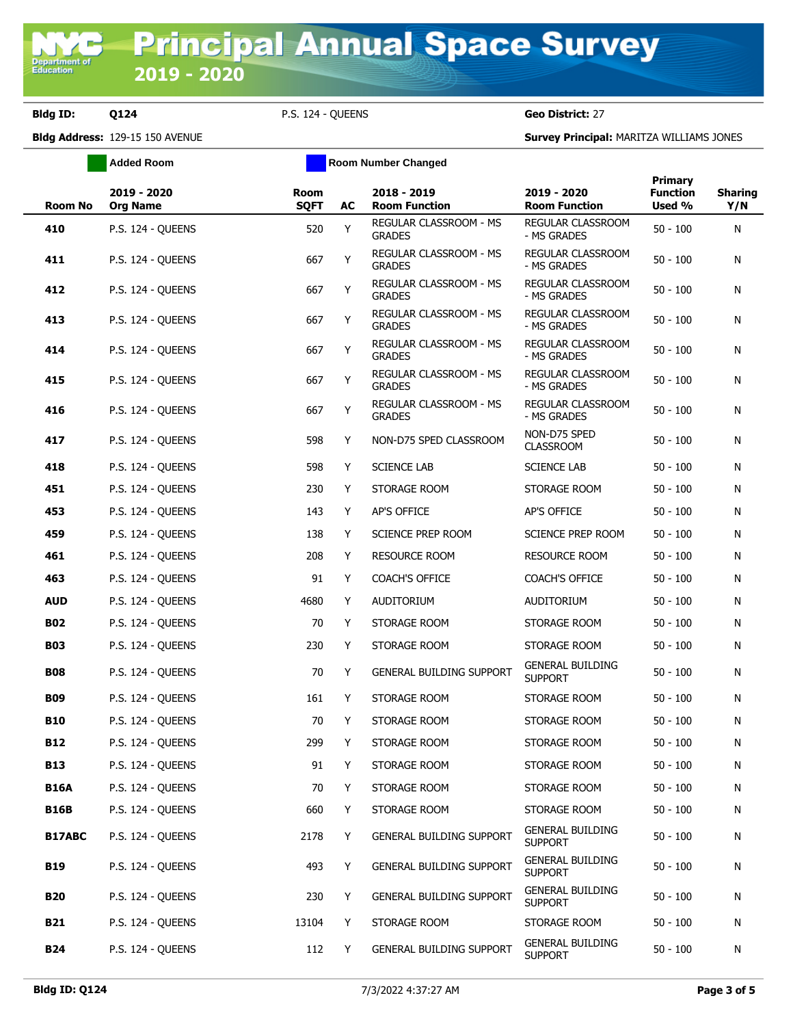**Bldg ID: Q124** P.S. 124 - QUEENS **Geo District:** 27

**Bldg Address:** 129-15 150 AVENUE **Survey Principal:** MARITZA WILLIAMS JONES

|                | <b>Added Room</b>              |                     | <b>Room Number Changed</b> |                                         |                                           |                                      |                       |
|----------------|--------------------------------|---------------------|----------------------------|-----------------------------------------|-------------------------------------------|--------------------------------------|-----------------------|
| <b>Room No</b> | 2019 - 2020<br><b>Org Name</b> | Room<br><b>SQFT</b> | <b>AC</b>                  | 2018 - 2019<br><b>Room Function</b>     | 2019 - 2020<br><b>Room Function</b>       | Primary<br><b>Function</b><br>Used % | <b>Sharing</b><br>Y/N |
| 410            | P.S. 124 - QUEENS              | 520                 | Y                          | REGULAR CLASSROOM - MS<br><b>GRADES</b> | REGULAR CLASSROOM<br>- MS GRADES          | $50 - 100$                           | N                     |
| 411            | P.S. 124 - QUEENS              | 667                 | Υ                          | REGULAR CLASSROOM - MS<br><b>GRADES</b> | REGULAR CLASSROOM<br>- MS GRADES          | $50 - 100$                           | Ν                     |
| 412            | P.S. 124 - QUEENS              | 667                 | Y                          | REGULAR CLASSROOM - MS<br><b>GRADES</b> | REGULAR CLASSROOM<br>- MS GRADES          | $50 - 100$                           | N                     |
| 413            | P.S. 124 - QUEENS              | 667                 | Υ                          | REGULAR CLASSROOM - MS<br><b>GRADES</b> | REGULAR CLASSROOM<br>- MS GRADES          | $50 - 100$                           | N                     |
| 414            | P.S. 124 - QUEENS              | 667                 | Υ                          | REGULAR CLASSROOM - MS<br><b>GRADES</b> | <b>REGULAR CLASSROOM</b><br>- MS GRADES   | $50 - 100$                           | Ν                     |
| 415            | P.S. 124 - QUEENS              | 667                 | Υ                          | REGULAR CLASSROOM - MS<br><b>GRADES</b> | REGULAR CLASSROOM<br>- MS GRADES          | $50 - 100$                           | Ν                     |
| 416            | P.S. 124 - QUEENS              | 667                 | Y                          | REGULAR CLASSROOM - MS<br><b>GRADES</b> | REGULAR CLASSROOM<br>- MS GRADES          | $50 - 100$                           | Ν                     |
| 417            | P.S. 124 - QUEENS              | 598                 | Y                          | NON-D75 SPED CLASSROOM                  | NON-D75 SPED<br><b>CLASSROOM</b>          | $50 - 100$                           | Ν                     |
| 418            | P.S. 124 - QUEENS              | 598                 | Y                          | <b>SCIENCE LAB</b>                      | <b>SCIENCE LAB</b>                        | $50 - 100$                           | Ν                     |
| 451            | P.S. 124 - QUEENS              | 230                 | Y                          | STORAGE ROOM                            | STORAGE ROOM                              | $50 - 100$                           | Ν                     |
| 453            | P.S. 124 - OUEENS              | 143                 | Y                          | AP'S OFFICE                             | AP'S OFFICE                               | $50 - 100$                           | Ν                     |
| 459            | P.S. 124 - QUEENS              | 138                 | Y                          | <b>SCIENCE PREP ROOM</b>                | SCIENCE PREP ROOM                         | $50 - 100$                           | N                     |
| 461            | P.S. 124 - QUEENS              | 208                 | Y                          | <b>RESOURCE ROOM</b>                    | <b>RESOURCE ROOM</b>                      | $50 - 100$                           | Ν                     |
| 463            | P.S. 124 - QUEENS              | 91                  | Y                          | <b>COACH'S OFFICE</b>                   | COACH'S OFFICE                            | $50 - 100$                           | Ν                     |
| <b>AUD</b>     | P.S. 124 - QUEENS              | 4680                | Y                          | <b>AUDITORIUM</b>                       | <b>AUDITORIUM</b>                         | $50 - 100$                           | Ν                     |
| <b>B02</b>     | P.S. 124 - QUEENS              | 70                  | Y                          | STORAGE ROOM                            | STORAGE ROOM                              | $50 - 100$                           | Ν                     |
| <b>B03</b>     | P.S. 124 - QUEENS              | 230                 | Y                          | STORAGE ROOM                            | STORAGE ROOM                              | $50 - 100$                           | N                     |
| <b>B08</b>     | P.S. 124 - QUEENS              | 70                  | Y                          | GENERAL BUILDING SUPPORT                | <b>GENERAL BUILDING</b><br><b>SUPPORT</b> | $50 - 100$                           | Ν                     |
| <b>B09</b>     | P.S. 124 - OUEENS              | 161                 | Y                          | STORAGE ROOM                            | STORAGE ROOM                              | $50 - 100$                           | Ν                     |
| <b>B10</b>     | P.S. 124 - QUEENS              | 70                  | Y                          | STORAGE ROOM                            | STORAGE ROOM                              | $50 - 100$                           | Ν                     |
| <b>B12</b>     | P.S. 124 - QUEENS              | 299                 | Υ                          | STORAGE ROOM                            | STORAGE ROOM                              | $50 - 100$                           | Ν                     |
| <b>B13</b>     | P.S. 124 - QUEENS              | 91                  | Y                          | STORAGE ROOM                            | STORAGE ROOM                              | $50 - 100$                           | Ν                     |
| <b>B16A</b>    | P.S. 124 - OUEENS              | 70                  | Y                          | STORAGE ROOM                            | STORAGE ROOM                              | $50 - 100$                           | Ν                     |
| <b>B16B</b>    | P.S. 124 - QUEENS              | 660                 | Y                          | STORAGE ROOM                            | STORAGE ROOM                              | $50 - 100$                           | N                     |
| <b>B17ABC</b>  | P.S. 124 - QUEENS              | 2178                | Y                          | GENERAL BUILDING SUPPORT                | <b>GENERAL BUILDING</b><br><b>SUPPORT</b> | $50 - 100$                           | Ν                     |
| <b>B19</b>     | P.S. 124 - QUEENS              | 493                 | Y                          | <b>GENERAL BUILDING SUPPORT</b>         | <b>GENERAL BUILDING</b><br><b>SUPPORT</b> | $50 - 100$                           | Ν                     |
| <b>B20</b>     | P.S. 124 - QUEENS              | 230                 | Y                          | GENERAL BUILDING SUPPORT                | <b>GENERAL BUILDING</b><br><b>SUPPORT</b> | $50 - 100$                           | Ν                     |
| <b>B21</b>     | P.S. 124 - QUEENS              | 13104               | Υ                          | STORAGE ROOM                            | STORAGE ROOM                              | $50 - 100$                           | Ν                     |
| <b>B24</b>     | P.S. 124 - QUEENS              | 112                 | Y                          | GENERAL BUILDING SUPPORT                | <b>GENERAL BUILDING</b><br><b>SUPPORT</b> | $50 - 100$                           | Ν                     |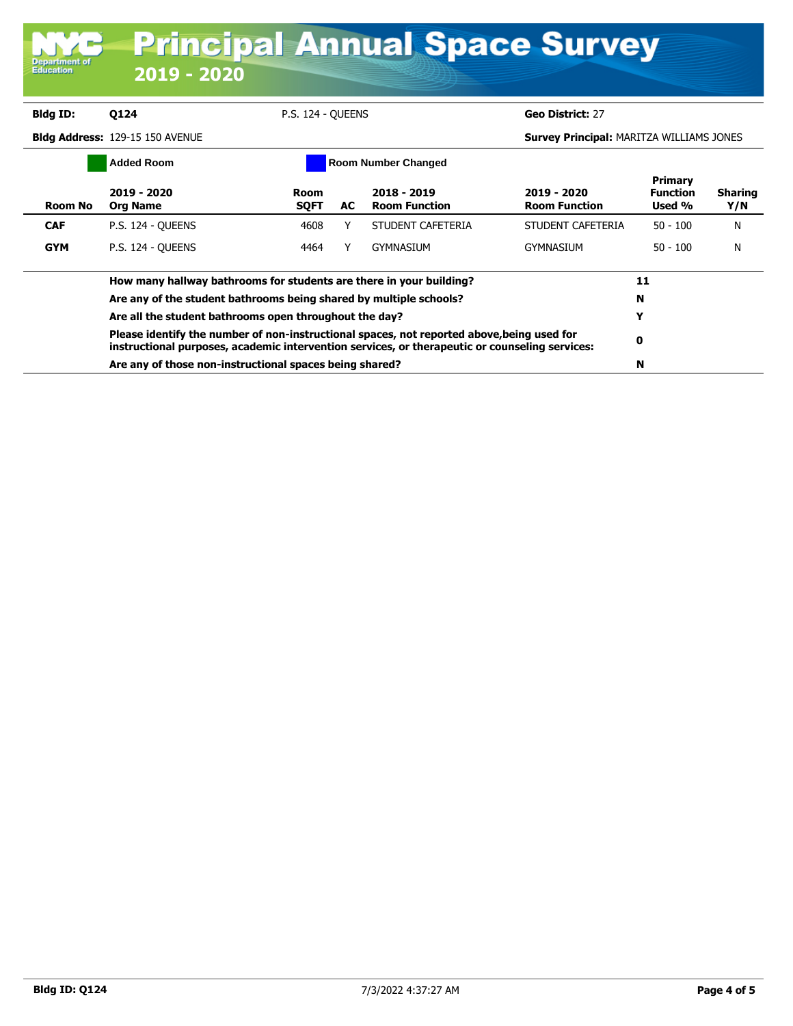|                                   | <b>Principal Annual Space Survey</b>                                                                                                                                                         |                            |    |                                     |                                                 |                                      |                       |
|-----------------------------------|----------------------------------------------------------------------------------------------------------------------------------------------------------------------------------------------|----------------------------|----|-------------------------------------|-------------------------------------------------|--------------------------------------|-----------------------|
| <b>Department of</b><br>Education | 2019 - 2020                                                                                                                                                                                  |                            |    |                                     |                                                 |                                      |                       |
| <b>Bldg ID:</b>                   | <b>0124</b>                                                                                                                                                                                  | P.S. 124 - OUEENS          |    |                                     | Geo District: 27                                |                                      |                       |
|                                   | Bldg Address: 129-15 150 AVENUE                                                                                                                                                              |                            |    |                                     | <b>Survey Principal: MARITZA WILLIAMS JONES</b> |                                      |                       |
|                                   | <b>Added Room</b>                                                                                                                                                                            |                            |    | <b>Room Number Changed</b>          |                                                 |                                      |                       |
| <b>Room No</b>                    | 2019 - 2020<br><b>Org Name</b>                                                                                                                                                               | <b>Room</b><br><b>SQFT</b> | AC | 2018 - 2019<br><b>Room Function</b> | 2019 - 2020<br><b>Room Function</b>             | Primary<br><b>Function</b><br>Used % | <b>Sharing</b><br>Y/N |
| <b>CAF</b>                        | <b>P.S. 124 - OUEENS</b>                                                                                                                                                                     | 4608                       | Y  | STUDENT CAFETERIA                   | STUDENT CAFETERIA                               | $50 - 100$                           | N                     |
| <b>GYM</b>                        | <b>P.S. 124 - OUEENS</b>                                                                                                                                                                     | 4464                       | Y  | GYMNASIUM                           | <b>GYMNASIUM</b>                                | $50 - 100$                           | N                     |
|                                   | How many hallway bathrooms for students are there in your building?                                                                                                                          |                            |    |                                     |                                                 | 11                                   |                       |
|                                   | Are any of the student bathrooms being shared by multiple schools?                                                                                                                           |                            |    |                                     |                                                 | N                                    |                       |
|                                   | Are all the student bathrooms open throughout the day?                                                                                                                                       |                            |    |                                     |                                                 | Y                                    |                       |
|                                   | Please identify the number of non-instructional spaces, not reported above, being used for<br>instructional purposes, academic intervention services, or therapeutic or counseling services: |                            |    |                                     |                                                 | 0                                    |                       |
|                                   | Are any of those non-instructional spaces being shared?                                                                                                                                      |                            |    |                                     |                                                 | N                                    |                       |